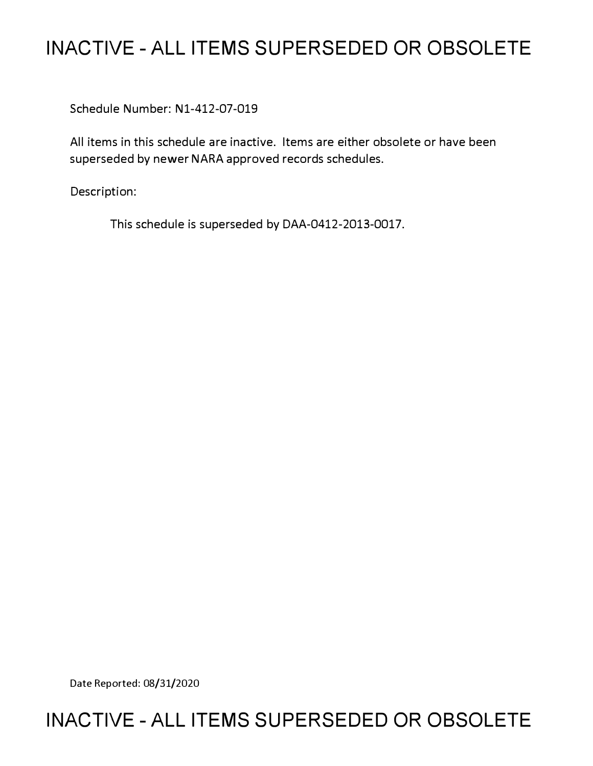## **INACTIVE - ALL ITEMS SUPERSEDED OR OBSOLETE**

Schedule Number: Nl-412-07-019

All items in this schedule are inactive. Items are either obsolete or have been superseded by newer NARA approved records schedules.

Description:

This schedule is superseded by DAA-0412-2013-0017.

Date Reported: 08/31/2020

## **INACTIVE - ALL ITEMS SUPERSEDED OR OBSOLETE**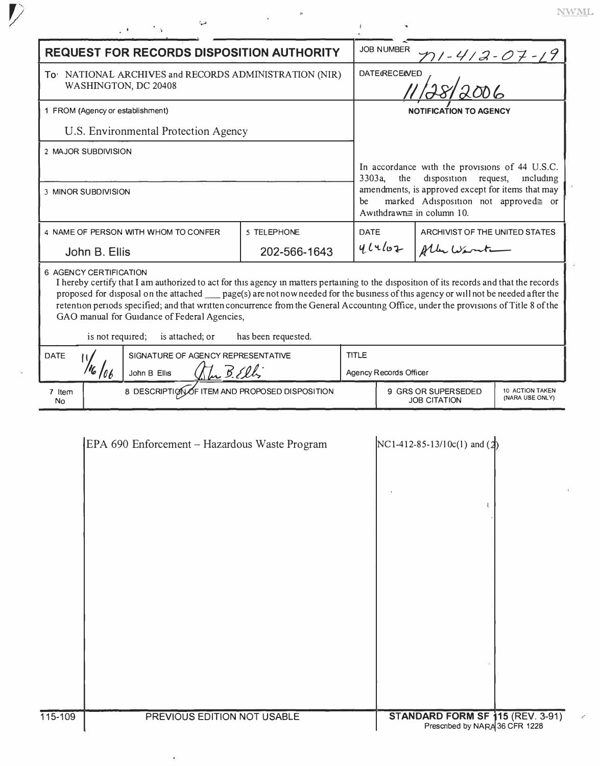|  |  | WML.      |  |  |
|--|--|-----------|--|--|
|  |  | arranged. |  |  |

|                                                                               |                                                     | . ¥                                                                                                                                                                                                                                                                                                                                                                                    |                                                            |                                               |                                                                                                                                                                                                                                               |                                |                                |  |
|-------------------------------------------------------------------------------|-----------------------------------------------------|----------------------------------------------------------------------------------------------------------------------------------------------------------------------------------------------------------------------------------------------------------------------------------------------------------------------------------------------------------------------------------------|------------------------------------------------------------|-----------------------------------------------|-----------------------------------------------------------------------------------------------------------------------------------------------------------------------------------------------------------------------------------------------|--------------------------------|--------------------------------|--|
| <b>REQUEST FOR RECORDS DISPOSITION AUTHORITY</b>                              |                                                     |                                                                                                                                                                                                                                                                                                                                                                                        |                                                            | <b>JOB NUMBER</b><br><u>n1-412-07-19</u>      |                                                                                                                                                                                                                                               |                                |                                |  |
| To NATIONAL ARCHIVES and RECORDS ADMINISTRATION (NIR)<br>WASHINGTON, DC 20408 |                                                     |                                                                                                                                                                                                                                                                                                                                                                                        |                                                            | $\mathcal{L}$<br><b>DATE&amp;RECE&amp;VED</b> |                                                                                                                                                                                                                                               |                                |                                |  |
| 1 FROM (Agency or establishment)                                              |                                                     |                                                                                                                                                                                                                                                                                                                                                                                        |                                                            | <b>NOTIFICATION TO AGENCY</b>                 |                                                                                                                                                                                                                                               |                                |                                |  |
| U.S. Environmental Protection Agency                                          |                                                     |                                                                                                                                                                                                                                                                                                                                                                                        |                                                            |                                               |                                                                                                                                                                                                                                               |                                |                                |  |
|                                                                               | 2 MAJOR SUBDIVISION                                 |                                                                                                                                                                                                                                                                                                                                                                                        |                                                            |                                               |                                                                                                                                                                                                                                               |                                |                                |  |
| 3 MINOR SUBDIVISION                                                           |                                                     |                                                                                                                                                                                                                                                                                                                                                                                        |                                                            | be                                            | In accordance with the provisions of 44 U.S.C.<br>3303a,<br>disposition<br>the<br>including<br>request,<br>amendments, is approved except for items that may<br>marked Adisposition not approved <sup>e</sup> or<br>Awithdrawn≅ in column 10. |                                |                                |  |
|                                                                               | 5 TELEPHONE<br>4 NAME OF PERSON WITH WHOM TO CONFER |                                                                                                                                                                                                                                                                                                                                                                                        |                                                            |                                               | <b>DATE</b>                                                                                                                                                                                                                                   |                                | ARCHIVIST OF THE UNITED STATES |  |
|                                                                               | John B. Ellis                                       |                                                                                                                                                                                                                                                                                                                                                                                        | 202-566-1643                                               |                                               | 4l4l02                                                                                                                                                                                                                                        | Albertient                     |                                |  |
| <b>DATE</b>                                                                   | is not required;                                    | proposed for disposal on the attached ____ page(s) are not now needed for the business of this agency or will not be needed after the<br>retention periods specified; and that written concurrence from the General Accounting Office, under the provisions of Title 8 of the<br>GAO manual for Guidance of Federal Agencies,<br>is attached; or<br>SIGNATURE OF AGENCY REPRESENTATIVE | has been requested.                                        |                                               |                                                                                                                                                                                                                                               |                                |                                |  |
|                                                                               |                                                     | John B Ellis                                                                                                                                                                                                                                                                                                                                                                           | <b>TITLE</b><br>The BElli<br><b>Agency Records Officer</b> |                                               |                                                                                                                                                                                                                                               |                                |                                |  |
| 7 Item<br>No                                                                  |                                                     |                                                                                                                                                                                                                                                                                                                                                                                        | 8 DESCRIPTION OF ITEM AND PROPOSED DISPOSITION             |                                               | 9 GRS OR SUPERSEDED<br>10 ACTION TAKEN<br>(NARA USE ONLY)<br><b>JOB CITATION</b>                                                                                                                                                              |                                |                                |  |
|                                                                               |                                                     | EPA 690 Enforcement - Hazardous Waste Program                                                                                                                                                                                                                                                                                                                                          |                                                            |                                               |                                                                                                                                                                                                                                               | $NC1-412-85-13/10c(1)$ and (2) |                                |  |
|                                                                               |                                                     |                                                                                                                                                                                                                                                                                                                                                                                        |                                                            |                                               |                                                                                                                                                                                                                                               |                                |                                |  |

PREVIOUS EDITION NOT USABLE

 $\hat{\mathbf{e}}$ 

 $\overline{\mathcal{V}}$ 

ź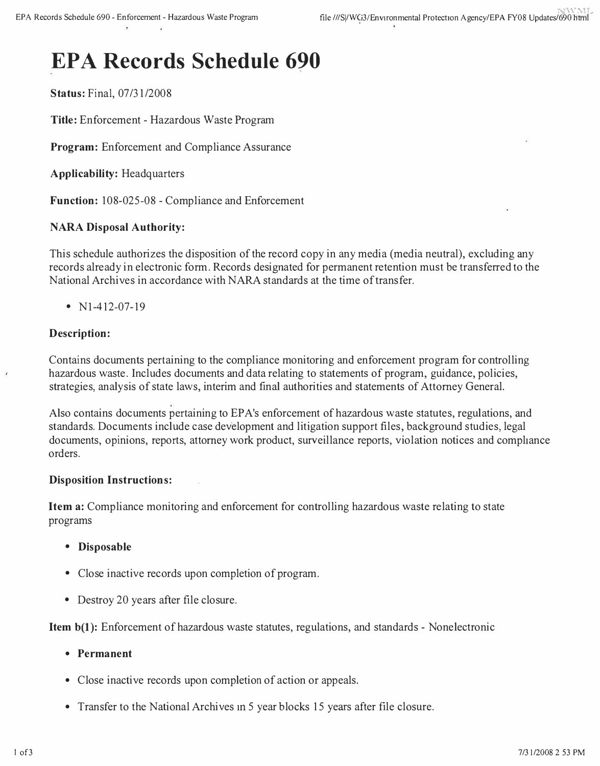# **EPA Records Schedule 690**

**Status:** Final, 07/31/2008

**Title:** Enforcement - Hazardous Waste Program

**Program:** Enforcement and Compliance Assurance

**Applicability:** Headquarters

**Function:** 108-025-08 - Compliance and Enforcement

#### **NARA Disposal Authority:**

This schedule authorizes the disposition of the record copy in any media (media neutral), excluding any records already in electronic form. Records designated for permanent retention must be transferred to the National Archives in accordance with NARA standards at the time of transfer.

•  $N1-412-07-19$ 

#### **Description:**

Contains documents pertaining to the compliance monitoring and enforcement program for controlling hazardous waste. Includes documents and data relating to statements of program, guidance, policies, strategies, analysis of state laws, interim and final authorities and statements of Attorney General.

Also contains documents pertaining to EP A's enforcement of hazardous waste statutes, regulations, and standards. Documents include case development and litigation support files, background studies, legal documents, opinions, reports, attorney work product, surveillance reports, violation notices and compliance orders.

#### **Disposition Instructions:**

**Item a:** Compliance monitoring and enforcement for controlling hazardous waste relating to state programs

- **Disposable**
- Close inactive records upon completion of program.
- Destroy 20 years after file closure.

**Item b(1):** Enforcement of hazardous waste statutes, regulations, and standards - Nonelectronic

- **Permanent**
- Close inactive records upon completion of action or appeals.
- Transfer to the National Archives in 5 year blocks 15 years after file closure.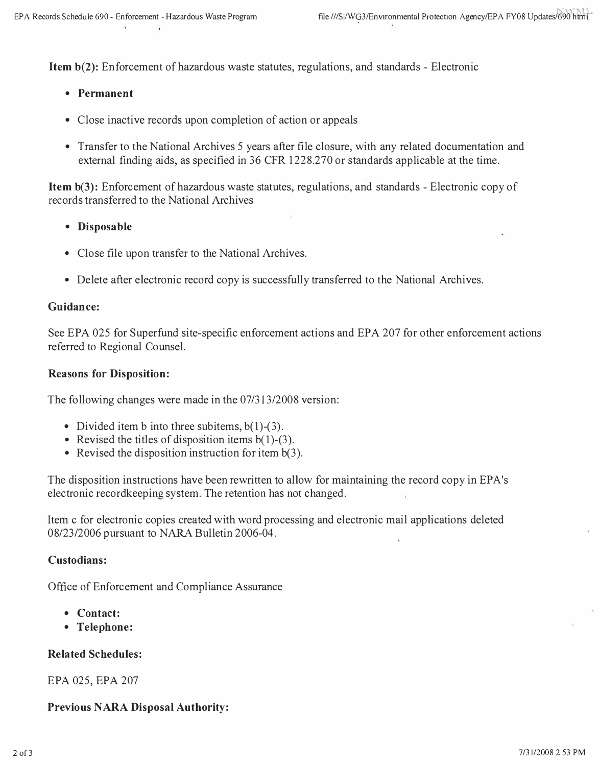**Item b(2):** Enforcement of hazardous waste statutes, regulations, and standards - Electronic

- **Permanent**
- Close inactive records upon completion of action or appeals
- Transfer to the National Archives 5 years after file closure, with any related documentation and external finding aids, as specified in 36 CFR 1228.270 or standards applicable at the time.

**Item b(3):** Enforcement of hazardous waste statutes, regulations, and standards - Electronic copy of records transferred to the National Archives

- **Disposable**
- Close file upon transfer to the National Archives.
- Delete after electronic record copy is successfully transferred to the National Archives.

#### **Guidance:**

See EPA 025 for Superfund site-specific enforcement actions and EPA 207 for other enforcement actions referred to Regional Counsel.

#### **Reasons for Disposition:**

The following changes were made in the 07/313/2008 version:

- Divided item b into three subitems,  $b(1)$ -(3).
- Revised the titles of disposition items  $b(1)$ -(3).
- Revised the disposition instruction for item b(3).

The disposition instructions have been rewritten to allow for maintaining the record copy in EPA's electronic recordkeeping system. The retention has not changed.

Item c for electronic copies created with word processing and electronic mail applications deleted 08/23/2006 pursuant to NARA Bulletin 2006-04.

#### **Custodians:**

Office of Enforcement and Compliance Assurance

- **Contact:**
- **Telephone:**

## **Related Schedules:**

## EPA 025, EPA 207

## **Previous NARA Disposal Authority:**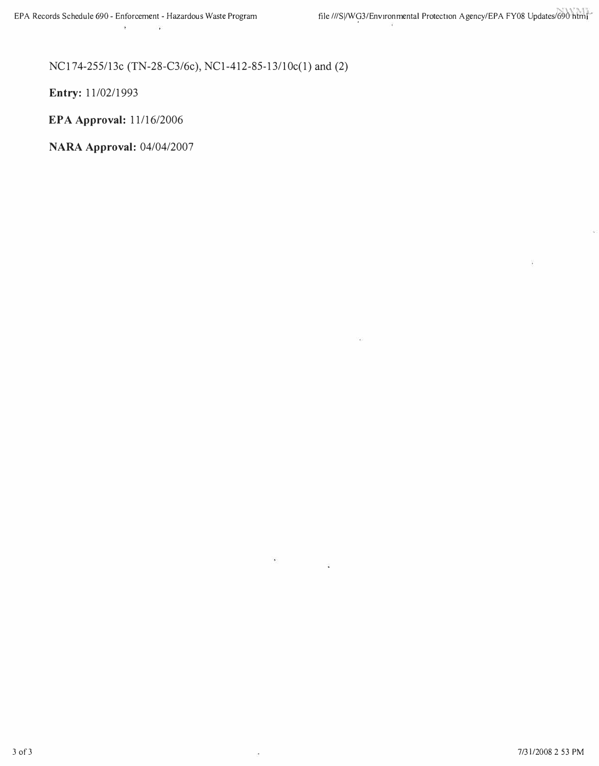### NCI 74-255/13c (TN-28-C3/6c), NCl-412-85-13/l0c(l) and (2)

¥,

×

**Entry:** 11/02/1993

**EPA Approval:** 11/16/2006

**NARA Approval:** 04/04/2007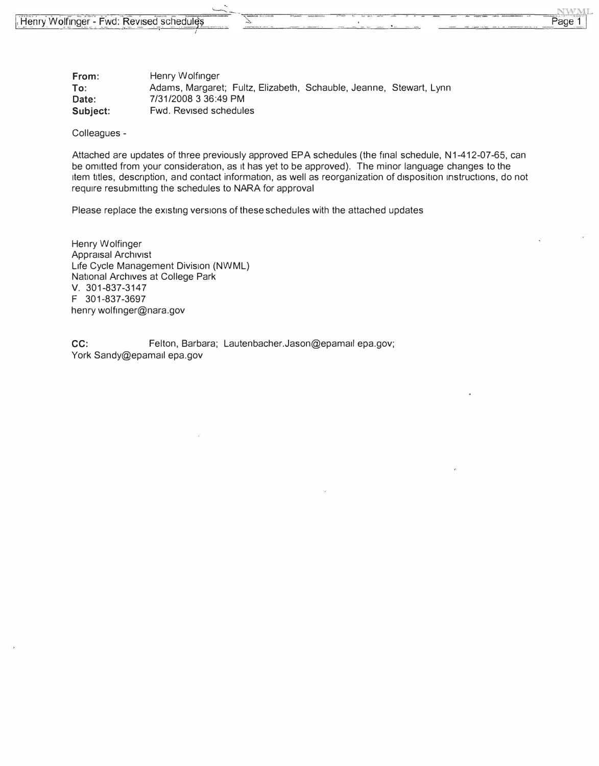| From:    | Henry Wolfinger                                                    |
|----------|--------------------------------------------------------------------|
| To:      | Adams, Margaret; Fultz, Elizabeth, Schauble, Jeanne, Stewart, Lynn |
| Date:    | 7/31/2008 3 36:49 PM                                               |
| Subject: | Fwd. Revised schedules                                             |

Colleagues -

Attached are updates of three previously approved EPA schedules (the final schedule, N1-412-07-65, can be omitted from your consideration, as it has yet to be approved). The minor language changes to the item titles, description, and contact information, as well as reorganization of disposition instructions, do not require resubmitting the schedules to NARA for approval

**NWML** 

Page 1

Please replace the existing versions of these schedules with the attached updates

Henry Wolfinger Appraisal Archivist Life Cycle Management Division (NWML) National Archives at College Park V. 301-837-3147 F 301-837-3697 henry wolfinger@nara.gov

CC: Felton, Barbara; [Lautenbacher.Jason@epam](mailto:Lautenbacher.Jason@epamall)ail epa.gov; York Sandy@epamail epa.gov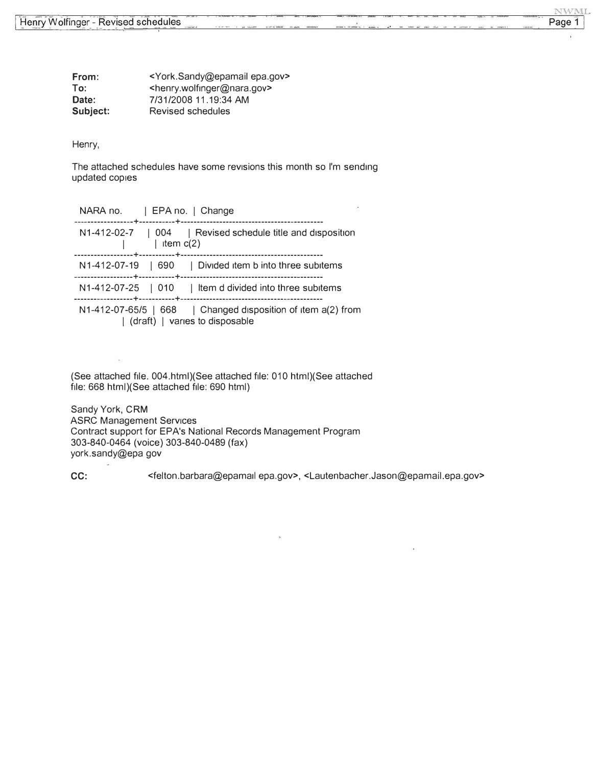| From:    | <york.sandy@epamail epa.gov=""></york.sandy@epamail>  |
|----------|-------------------------------------------------------|
| To:      | <henry.wolfinger@nara.gov></henry.wolfinger@nara.gov> |
| Date:    | 7/31/2008 11.19:34 AM                                 |
| Subject: | Revised schedules                                     |

Henry,

The attached schedules have some revisions this month so I'm sending updated copies

**NWML** 

Page 1

| NARA no.   EPA no.   Change                                                                        |  |
|----------------------------------------------------------------------------------------------------|--|
| N1-412-02-7   004   Revised schedule title and disposition<br>  item $c(2)$                        |  |
| N1-412-07-19   690   Divided item b into three subitems                                            |  |
| N1-412-07-25   010   Item d divided into three subitems                                            |  |
| N1-412-07-65/5   668   Changed disposition of item $a(2)$ from<br>  (draft)   varies to disposable |  |

(See attached file. 004.html)(See attached file: 010 html)(See attached file: 668 html)(See attached file: 690 html}

Sandy York, **CRM**  ASRC Management Services Contract support for EPA's National Records Management Program 303-840-0464 (voice) 303-840-0489 (fax) [york.sandy@epa](mailto:york.sandy@epa) gov

CC: [<felton.barbara@epam](mailto:felton.barbara@epamall)ail epa.gov>, [<Lautenbacher.Jason@epamail.epa](mailto:Lautenbacher.Jason@epamail.epa.gov).gov>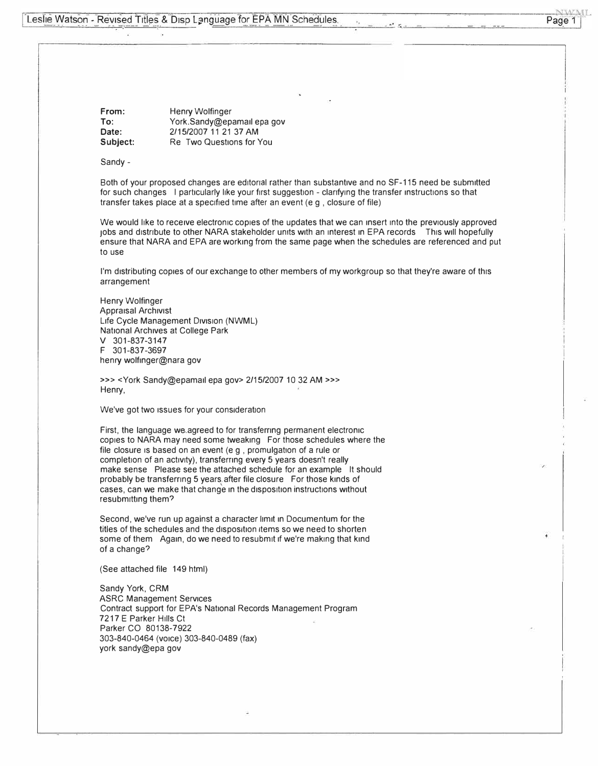Leslie Watson - Revised Titles & Disp Language for EPA MN Schedules.

NWML Page 1

**From:** Henry Wolfinger To: [York.Sandy@epama](mailto:York.Sandy@epamall)il epa gov **Date:** 2/15/2007 11 21 37 AM Subject: Re Two Questions for You

Sandy -

Both of your proposed changes are editorial rather than substantive and no SF-115 need be submitted for such changes I particularly like your first suggestion - clarifying the transfer instructions so that transfer takes place at a specified time after an event (e g, closure of file)

We would like to receive electronic copies of the updates that we can insert into the previously approved Jobs and distribute to other NARA stakeholder units with an interest in EPA records This will hopefully ensure that NARA and EPA are working from the same page when the schedules are referenced and put to use

I'm distributing copies of our exchange to other members of my workgroup so that they're aware of this arrangement

Henry Wolfinger **Appraisal Archivist** Life Cycle Management Division (NWML) National Archives at College Park V 301-837-3147 F 301-837-3697 henry wolfinger@nara gov

>>> <York Sandy@epamail epa gov> 2/15/2007 10 32 AM >>> Henry,

We've got two issues for your consideration

First, the language we.agreed to for transferring permanent electronic copies to NARA may need some tweaking For those schedules where the file closure is based on an event (e g , promulgation of a rule or completion of an activity), transferring every 5 years doesn't really make sense Please see the attached schedule for an example It should probably be transferring 5 years.after file closure For those kinds of cases, can we make that change in the disposition instructions without resubmitting them?

Second, we've run up against a character limit in Documentum for the titles of the schedules and the disposition items so we need to shorten some of them Again, do we need to resubmit if we're making that kind of a change?

(See attached file 149 html)

Sandy York, CRM ASRC Management Services Contract support for EPA's National Records Management Program 7217 E Parker Hills Ct Parker CO 80138-7922 303-840-0464 (voice) 303-840-0489 (fax) york sandy@epa gov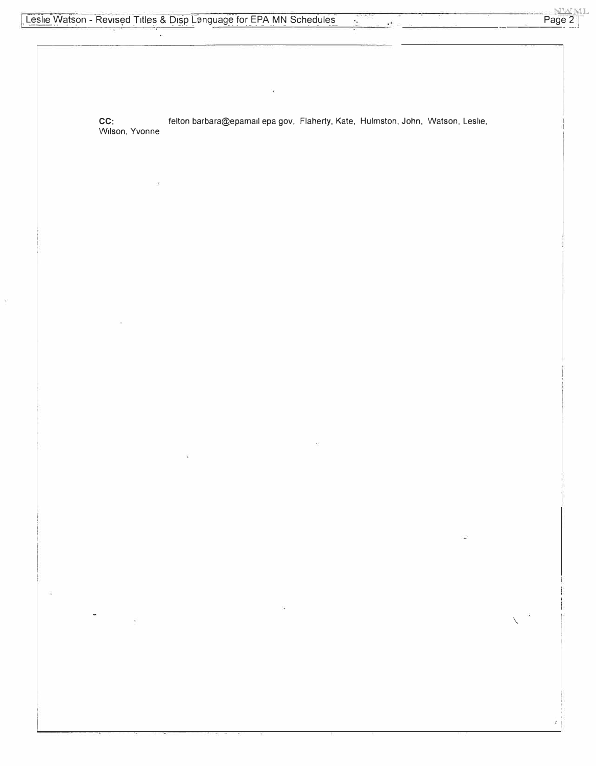$\omega$ 

Ÿ,

Page 2

CC: felton barbara@epamail epa gov, Flaherty, Kate, Hulmston, John, Watson, Leslie, Wilson, Yvonne

J.

 $\mathbf{r}^2$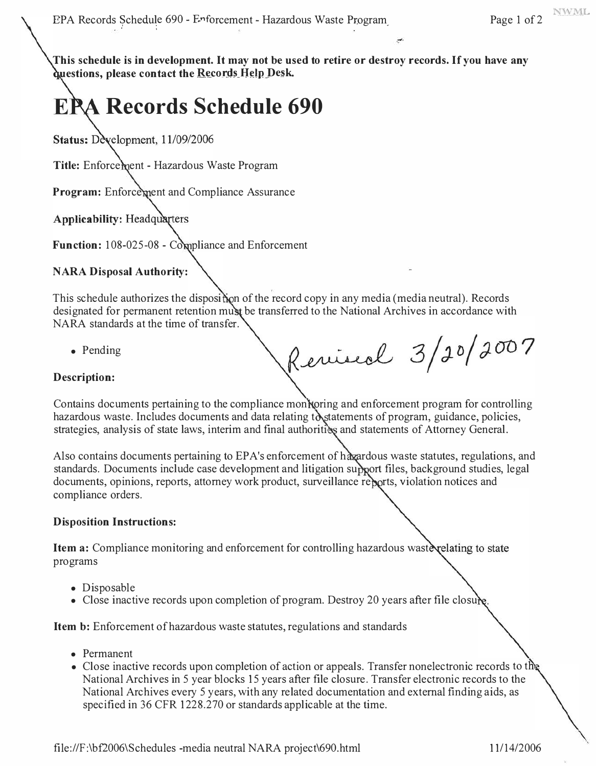**This schedule is in development. It may not be used to retire or destroy records. If you have any <u>duestions</u>**, please contact the **Records** Help Desk.

# **Records Schedule 690**

Status: Development, 11/09/2006

Title: Enforcement - Hazardous Waste Program

**Program:** Enforcement and Compliance Assurance

**Applicability: Headquarters** 

Function: 108-025-08 - Compliance and Enforcement

## **NARA Disposal Authority:**

This schedule authorizes the disposition of the record copy in any media (media neutral). Records designated for permanent retention must be transferred to the National Archives in accordance with NARA standards at the time of transfer.

• Pending

Revised 3/20/2007

## **Description:**

Contains documents pertaining to the compliance monitoring and enforcement program for controlling hazardous waste. Includes documents and data relating to statements of program, guidance, policies, strategies, analysis of state laws, interim and final authorities and statements of Attorney General.

Also contains documents pertaining to EPA's enforcement of haxardous waste statutes, regulations, and standards. Documents include case development and litigation support files, background studies, legal documents, opinions, reports, attorney work product, surveillance reports, violation notices and compliance orders.

#### **Disposition Instructions:**

**Item a:** Compliance monitoring and enforcement for controlling hazardous wastevelating to state programs

- Disposable
- Close inactive records upon completion of program. Destroy 20 years after file closure.

**Item b:** Enforcement of hazardous waste statutes, regulations and standards

- Permanent
- Close inactive records upon completion of action or appeals. Transfer nonelectronic records to the National Archives in 5 year blocks 15 years after file closure. Transfer electronic records to the National Archives every 5 years, with any related documentation and external finding aids, as specified in 36 CFR 1228.270 or standards applicable at the time.